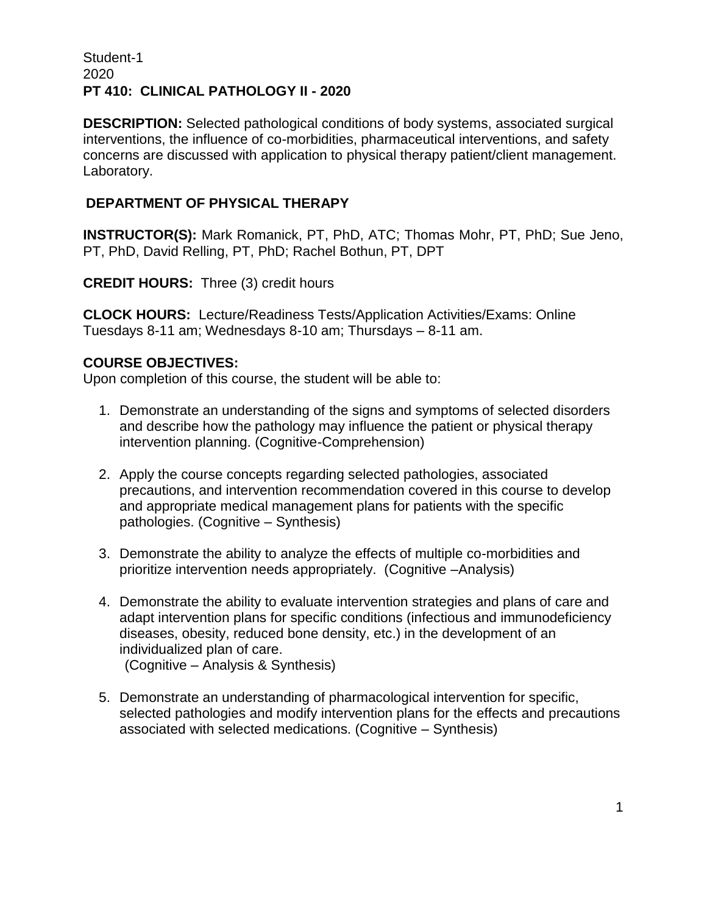# Student-1 2020 **PT 410: CLINICAL PATHOLOGY II - 2020**

**DESCRIPTION:** Selected pathological conditions of body systems, associated surgical interventions, the influence of co-morbidities, pharmaceutical interventions, and safety concerns are discussed with application to physical therapy patient/client management. Laboratory.

# **DEPARTMENT OF PHYSICAL THERAPY**

**INSTRUCTOR(S):** Mark Romanick, PT, PhD, ATC; Thomas Mohr, PT, PhD; Sue Jeno, PT, PhD, David Relling, PT, PhD; Rachel Bothun, PT, DPT

**CREDIT HOURS:** Three (3) credit hours

**CLOCK HOURS:** Lecture/Readiness Tests/Application Activities/Exams: Online Tuesdays 8-11 am; Wednesdays 8-10 am; Thursdays – 8-11 am.

## **COURSE OBJECTIVES:**

Upon completion of this course, the student will be able to:

- 1. Demonstrate an understanding of the signs and symptoms of selected disorders and describe how the pathology may influence the patient or physical therapy intervention planning. (Cognitive-Comprehension)
- 2. Apply the course concepts regarding selected pathologies, associated precautions, and intervention recommendation covered in this course to develop and appropriate medical management plans for patients with the specific pathologies. (Cognitive – Synthesis)
- 3. Demonstrate the ability to analyze the effects of multiple co-morbidities and prioritize intervention needs appropriately. (Cognitive –Analysis)
- 4. Demonstrate the ability to evaluate intervention strategies and plans of care and adapt intervention plans for specific conditions (infectious and immunodeficiency diseases, obesity, reduced bone density, etc.) in the development of an individualized plan of care. (Cognitive – Analysis & Synthesis)
- 5. Demonstrate an understanding of pharmacological intervention for specific, selected pathologies and modify intervention plans for the effects and precautions associated with selected medications. (Cognitive – Synthesis)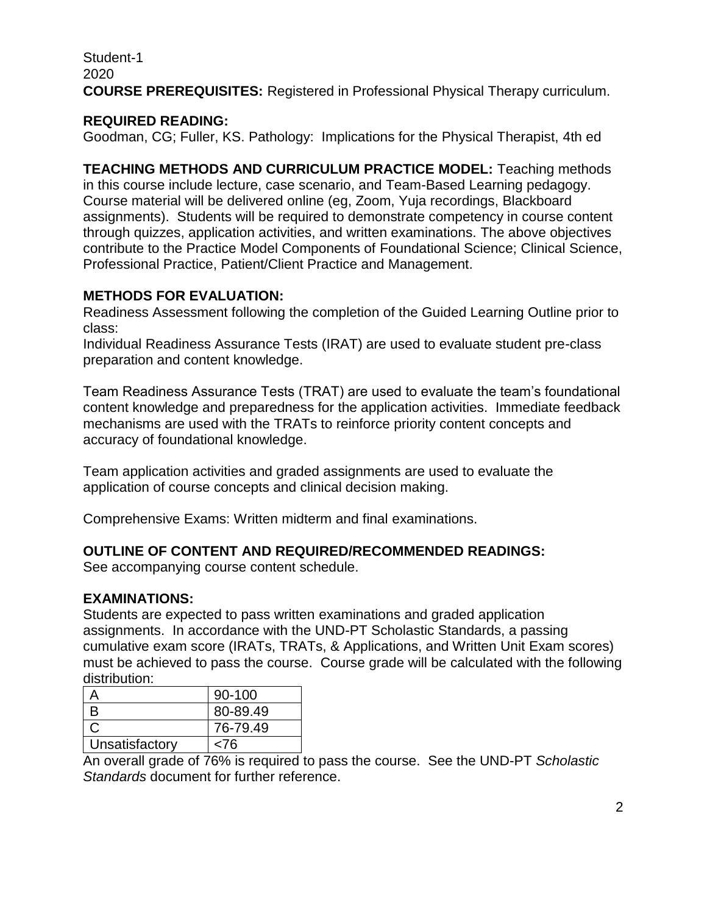Student-1 2020 **COURSE PREREQUISITES:** Registered in Professional Physical Therapy curriculum.

# **REQUIRED READING:**

Goodman, CG; Fuller, KS. Pathology: Implications for the Physical Therapist, 4th ed

**TEACHING METHODS AND CURRICULUM PRACTICE MODEL:** Teaching methods in this course include lecture, case scenario, and Team-Based Learning pedagogy. Course material will be delivered online (eg, Zoom, Yuja recordings, Blackboard assignments). Students will be required to demonstrate competency in course content through quizzes, application activities, and written examinations. The above objectives contribute to the Practice Model Components of Foundational Science; Clinical Science, Professional Practice, Patient/Client Practice and Management.

## **METHODS FOR EVALUATION:**

Readiness Assessment following the completion of the Guided Learning Outline prior to class:

Individual Readiness Assurance Tests (IRAT) are used to evaluate student pre-class preparation and content knowledge.

Team Readiness Assurance Tests (TRAT) are used to evaluate the team's foundational content knowledge and preparedness for the application activities. Immediate feedback mechanisms are used with the TRATs to reinforce priority content concepts and accuracy of foundational knowledge.

Team application activities and graded assignments are used to evaluate the application of course concepts and clinical decision making.

Comprehensive Exams: Written midterm and final examinations.

## **OUTLINE OF CONTENT AND REQUIRED/RECOMMENDED READINGS:**

See accompanying course content schedule.

## **EXAMINATIONS:**

Students are expected to pass written examinations and graded application assignments. In accordance with the UND-PT Scholastic Standards, a passing cumulative exam score (IRATs, TRATs, & Applications, and Written Unit Exam scores) must be achieved to pass the course. Course grade will be calculated with the following distribution:

|                | 90-100   |
|----------------|----------|
| B              | 80-89.49 |
|                | 76-79.49 |
| Unsatisfactory | <76      |

An overall grade of 76% is required to pass the course. See the UND-PT *Scholastic Standards* document for further reference.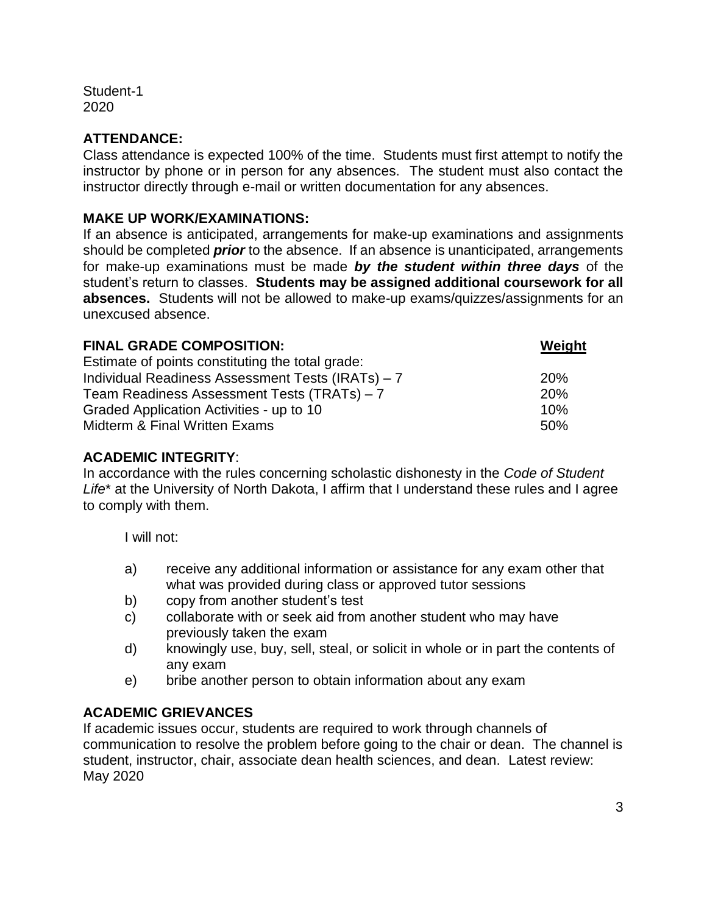Student-1 2020

# **ATTENDANCE:**

Class attendance is expected 100% of the time. Students must first attempt to notify the instructor by phone or in person for any absences. The student must also contact the instructor directly through e-mail or written documentation for any absences.

## **MAKE UP WORK/EXAMINATIONS:**

If an absence is anticipated, arrangements for make-up examinations and assignments should be completed *prior* to the absence. If an absence is unanticipated, arrangements for make-up examinations must be made *by the student within three days* of the student's return to classes. **Students may be assigned additional coursework for all absences.** Students will not be allowed to make-up exams/quizzes/assignments for an unexcused absence.

| <b>FINAL GRADE COMPOSITION:</b>                   | Weight     |
|---------------------------------------------------|------------|
| Estimate of points constituting the total grade:  |            |
| Individual Readiness Assessment Tests (IRATs) - 7 | <b>20%</b> |
| Team Readiness Assessment Tests (TRATs) - 7       | 20%        |
| Graded Application Activities - up to 10          | 10%        |
| Midterm & Final Written Exams                     | 50%        |

# **ACADEMIC INTEGRITY**:

In accordance with the rules concerning scholastic dishonesty in the *Code of Student Life*\* at the University of North Dakota, I affirm that I understand these rules and I agree to comply with them.

I will not:

- a) receive any additional information or assistance for any exam other that what was provided during class or approved tutor sessions
- b) copy from another student's test
- c) collaborate with or seek aid from another student who may have previously taken the exam
- d) knowingly use, buy, sell, steal, or solicit in whole or in part the contents of any exam
- e) bribe another person to obtain information about any exam

# **ACADEMIC GRIEVANCES**

If academic issues occur, students are required to work through channels of communication to resolve the problem before going to the chair or dean. The channel is student, instructor, chair, associate dean health sciences, and dean.Latest review: May 2020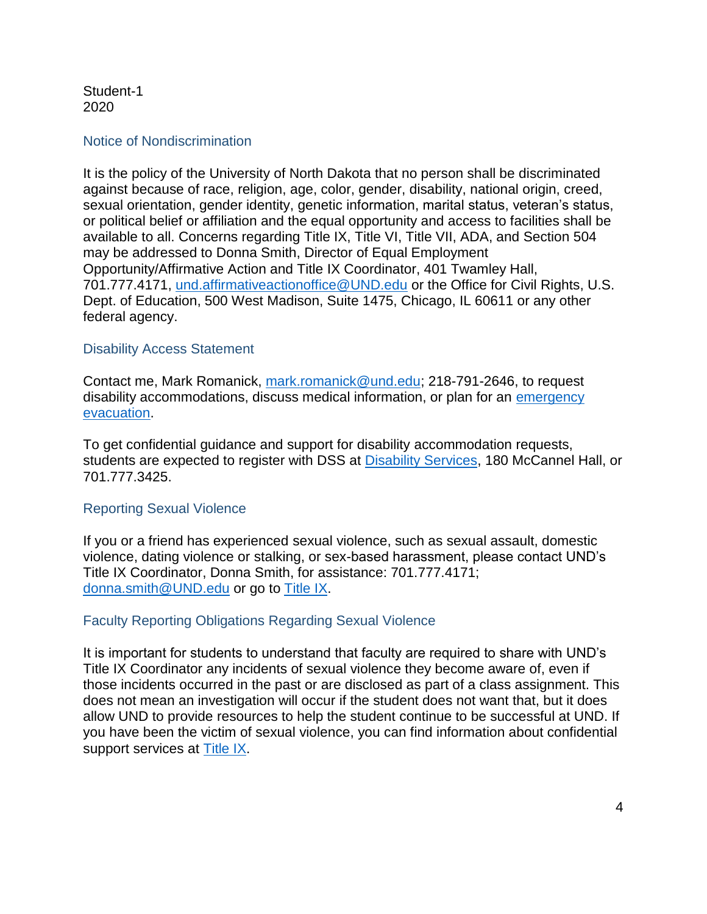Student-1 2020

#### Notice of Nondiscrimination

It is the policy of the University of North Dakota that no person shall be discriminated against because of race, religion, age, color, gender, disability, national origin, creed, sexual orientation, gender identity, genetic information, marital status, veteran's status, or political belief or affiliation and the equal opportunity and access to facilities shall be available to all. Concerns regarding Title IX, Title VI, Title VII, ADA, and Section 504 may be addressed to Donna Smith, Director of Equal Employment Opportunity/Affirmative Action and Title IX Coordinator, 401 Twamley Hall, 701.777.4171, [und.affirmativeactionoffice@UND.edu](mailto:und.affirmativeactionoffice@UND.edu) or the Office for Civil Rights, U.S. Dept. of Education, 500 West Madison, Suite 1475, Chicago, IL 60611 or any other federal agency.

### Disability Access Statement

Contact me, Mark Romanick, [mark.romanick@und.edu;](mailto:mark.romanick@und.edu) 218-791-2646, to request disability accommodations, discuss medical information, or plan for an emergency [evacuation.](https://und.edu/student-life/disability-services/preparedness.html)

To get confidential guidance and support for disability accommodation requests, students are expected to register with DSS at [Disability Services,](https://und.edu/student-life/disability-services/) 180 McCannel Hall, or 701.777.3425.

## Reporting Sexual Violence

If you or a friend has experienced sexual violence, such as sexual assault, domestic violence, dating violence or stalking, or sex-based harassment, please contact UND's Title IX Coordinator, Donna Smith, for assistance: 701.777.4171; [donna.smith@UND.edu](mailto:donna.smith@UND.edu) or go to [Title IX.](https://campus.und.edu/equal-opportunity/title-ix.html)

## Faculty Reporting Obligations Regarding Sexual Violence

It is important for students to understand that faculty are required to share with UND's Title IX Coordinator any incidents of sexual violence they become aware of, even if those incidents occurred in the past or are disclosed as part of a class assignment. This does not mean an investigation will occur if the student does not want that, but it does allow UND to provide resources to help the student continue to be successful at UND. If you have been the victim of sexual violence, you can find information about confidential support services at [Title IX.](https://und.edu/_development/_migration-wave4/affirmative-action/title-ix/index.html)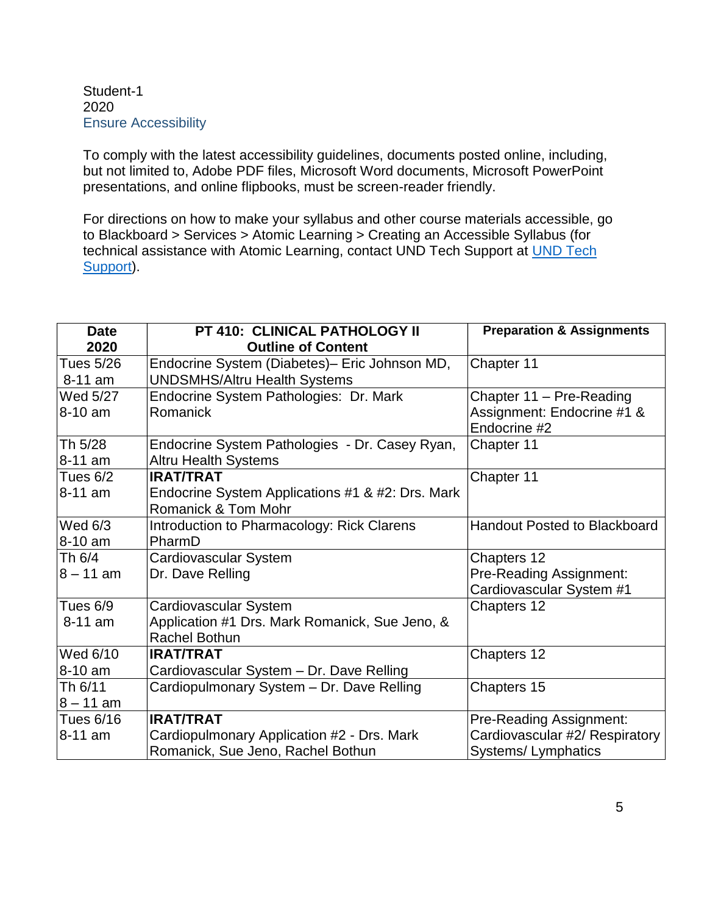### Student-1 2020 Ensure Accessibility

To comply with the latest accessibility guidelines, documents posted online, including, but not limited to, Adobe PDF files, Microsoft Word documents, Microsoft PowerPoint presentations, and online flipbooks, must be screen-reader friendly.

For directions on how to make your syllabus and other course materials accessible, go to Blackboard > Services > Atomic Learning > Creating an Accessible Syllabus (for technical assistance with Atomic Learning, contact UND Tech Support at [UND Tech](https://campus.und.edu/campus-services/uit/tech-support-user.html)  [Support\)](https://campus.und.edu/campus-services/uit/tech-support-user.html).

| <b>Date</b>    | PT 410: CLINICAL PATHOLOGY II                    | <b>Preparation &amp; Assignments</b> |
|----------------|--------------------------------------------------|--------------------------------------|
| 2020           | <b>Outline of Content</b>                        |                                      |
| Tues 5/26      | Endocrine System (Diabetes)- Eric Johnson MD,    | Chapter 11                           |
| 8-11 am        | <b>UNDSMHS/Altru Health Systems</b>              |                                      |
| Wed 5/27       | Endocrine System Pathologies: Dr. Mark           | Chapter 11 - Pre-Reading             |
| 8-10 am        | Romanick                                         | Assignment: Endocrine #1 &           |
|                |                                                  | Endocrine #2                         |
| Th 5/28        | Endocrine System Pathologies - Dr. Casey Ryan,   | Chapter 11                           |
| 8-11 am        | <b>Altru Health Systems</b>                      |                                      |
| Tues 6/2       | <b>IRAT/TRAT</b>                                 | Chapter 11                           |
| 8-11 am        | Endocrine System Applications #1 & #2: Drs. Mark |                                      |
|                | Romanick & Tom Mohr                              |                                      |
| <b>Wed 6/3</b> | Introduction to Pharmacology: Rick Clarens       | <b>Handout Posted to Blackboard</b>  |
| 8-10 am        | PharmD                                           |                                      |
| Th 6/4         | Cardiovascular System                            | Chapters 12                          |
| $8 - 11$ am    | Dr. Dave Relling                                 | Pre-Reading Assignment:              |
|                |                                                  | Cardiovascular System #1             |
| Tues 6/9       | Cardiovascular System                            | Chapters 12                          |
| 8-11 am        | Application #1 Drs. Mark Romanick, Sue Jeno, &   |                                      |
|                | <b>Rachel Bothun</b>                             |                                      |
| Wed 6/10       | <b>IRAT/TRAT</b>                                 | Chapters 12                          |
| 8-10 am        | Cardiovascular System - Dr. Dave Relling         |                                      |
| Th 6/11        | Cardiopulmonary System - Dr. Dave Relling        | Chapters 15                          |
| $8 - 11$ am    |                                                  |                                      |
| Tues 6/16      | <b>IRAT/TRAT</b>                                 | Pre-Reading Assignment:              |
| 8-11 am        | Cardiopulmonary Application #2 - Drs. Mark       | Cardiovascular #2/ Respiratory       |
|                | Romanick, Sue Jeno, Rachel Bothun                | Systems/Lymphatics                   |